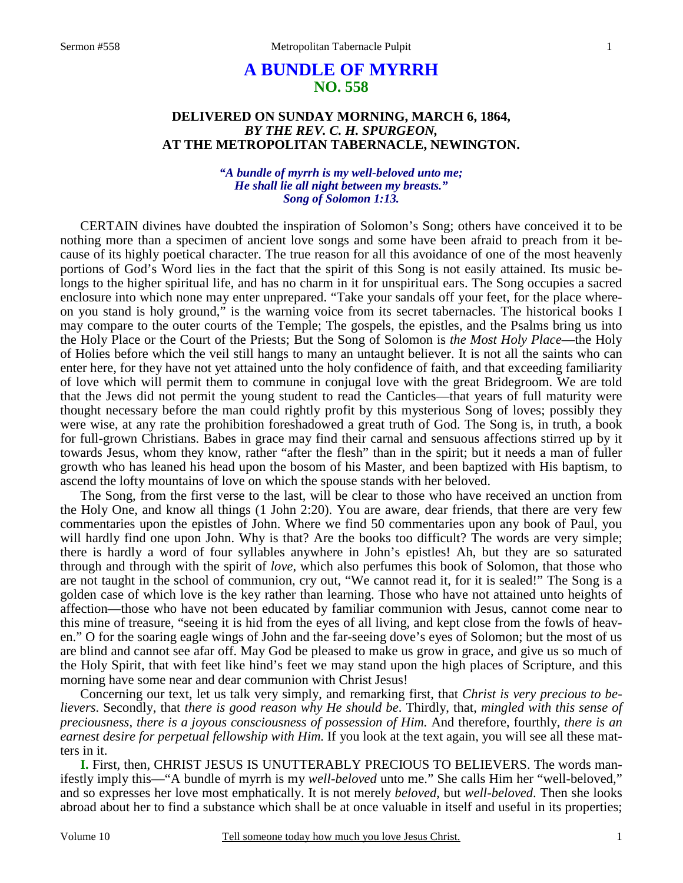# **A BUNDLE OF MYRRH NO. 558**

## **DELIVERED ON SUNDAY MORNING, MARCH 6, 1864,**  *BY THE REV. C. H. SPURGEON,*  **AT THE METROPOLITAN TABERNACLE, NEWINGTON.**

### *"A bundle of myrrh is my well-beloved unto me; He shall lie all night between my breasts." Song of Solomon 1:13.*

CERTAIN divines have doubted the inspiration of Solomon's Song; others have conceived it to be nothing more than a specimen of ancient love songs and some have been afraid to preach from it because of its highly poetical character. The true reason for all this avoidance of one of the most heavenly portions of God's Word lies in the fact that the spirit of this Song is not easily attained. Its music belongs to the higher spiritual life, and has no charm in it for unspiritual ears. The Song occupies a sacred enclosure into which none may enter unprepared. "Take your sandals off your feet, for the place whereon you stand is holy ground," is the warning voice from its secret tabernacles. The historical books I may compare to the outer courts of the Temple; The gospels, the epistles, and the Psalms bring us into the Holy Place or the Court of the Priests; But the Song of Solomon is *the Most Holy Place*—the Holy of Holies before which the veil still hangs to many an untaught believer. It is not all the saints who can enter here, for they have not yet attained unto the holy confidence of faith, and that exceeding familiarity of love which will permit them to commune in conjugal love with the great Bridegroom. We are told that the Jews did not permit the young student to read the Canticles—that years of full maturity were thought necessary before the man could rightly profit by this mysterious Song of loves; possibly they were wise, at any rate the prohibition foreshadowed a great truth of God. The Song is, in truth, a book for full-grown Christians. Babes in grace may find their carnal and sensuous affections stirred up by it towards Jesus, whom they know, rather "after the flesh" than in the spirit; but it needs a man of fuller growth who has leaned his head upon the bosom of his Master, and been baptized with His baptism, to ascend the lofty mountains of love on which the spouse stands with her beloved.

The Song, from the first verse to the last, will be clear to those who have received an unction from the Holy One, and know all things (1 John 2:20). You are aware, dear friends, that there are very few commentaries upon the epistles of John. Where we find 50 commentaries upon any book of Paul, you will hardly find one upon John. Why is that? Are the books too difficult? The words are very simple; there is hardly a word of four syllables anywhere in John's epistles! Ah, but they are so saturated through and through with the spirit of *love*, which also perfumes this book of Solomon, that those who are not taught in the school of communion, cry out, "We cannot read it, for it is sealed!" The Song is a golden case of which love is the key rather than learning. Those who have not attained unto heights of affection—those who have not been educated by familiar communion with Jesus, cannot come near to this mine of treasure, "seeing it is hid from the eyes of all living, and kept close from the fowls of heaven." O for the soaring eagle wings of John and the far-seeing dove's eyes of Solomon; but the most of us are blind and cannot see afar off. May God be pleased to make us grow in grace, and give us so much of the Holy Spirit, that with feet like hind's feet we may stand upon the high places of Scripture, and this morning have some near and dear communion with Christ Jesus!

Concerning our text, let us talk very simply, and remarking first, that *Christ is very precious to believers*. Secondly, that *there is good reason why He should be*. Thirdly, that, *mingled with this sense of preciousness, there is a joyous consciousness of possession of Him.* And therefore, fourthly, *there is an earnest desire for perpetual fellowship with Him.* If you look at the text again, you will see all these matters in it.

**I.** First, then, CHRIST JESUS IS UNUTTERABLY PRECIOUS TO BELIEVERS. The words manifestly imply this—"A bundle of myrrh is my *well-beloved* unto me." She calls Him her "well-beloved," and so expresses her love most emphatically. It is not merely *beloved*, but *well-beloved*. Then she looks abroad about her to find a substance which shall be at once valuable in itself and useful in its properties;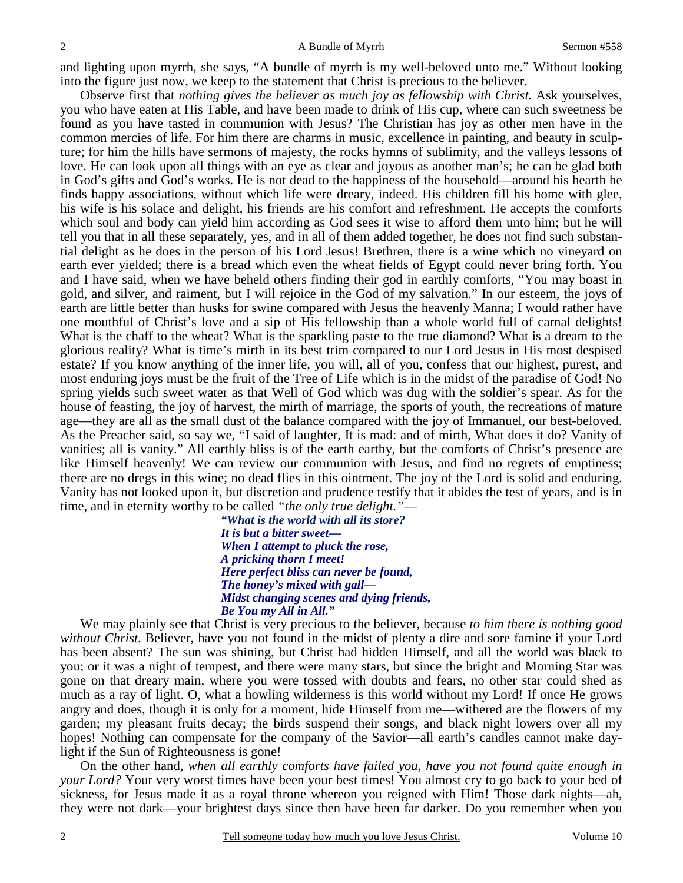and lighting upon myrrh, she says, "A bundle of myrrh is my well-beloved unto me." Without looking into the figure just now, we keep to the statement that Christ is precious to the believer.

Observe first that *nothing gives the believer as much joy as fellowship with Christ.* Ask yourselves, you who have eaten at His Table, and have been made to drink of His cup, where can such sweetness be found as you have tasted in communion with Jesus? The Christian has joy as other men have in the common mercies of life. For him there are charms in music, excellence in painting, and beauty in sculpture; for him the hills have sermons of majesty, the rocks hymns of sublimity, and the valleys lessons of love. He can look upon all things with an eye as clear and joyous as another man's; he can be glad both in God's gifts and God's works. He is not dead to the happiness of the household—around his hearth he finds happy associations, without which life were dreary, indeed. His children fill his home with glee, his wife is his solace and delight, his friends are his comfort and refreshment. He accepts the comforts which soul and body can yield him according as God sees it wise to afford them unto him; but he will tell you that in all these separately, yes, and in all of them added together, he does not find such substantial delight as he does in the person of his Lord Jesus! Brethren, there is a wine which no vineyard on earth ever yielded; there is a bread which even the wheat fields of Egypt could never bring forth. You and I have said, when we have beheld others finding their god in earthly comforts, "You may boast in gold, and silver, and raiment, but I will rejoice in the God of my salvation." In our esteem, the joys of earth are little better than husks for swine compared with Jesus the heavenly Manna; I would rather have one mouthful of Christ's love and a sip of His fellowship than a whole world full of carnal delights! What is the chaff to the wheat? What is the sparkling paste to the true diamond? What is a dream to the glorious reality? What is time's mirth in its best trim compared to our Lord Jesus in His most despised estate? If you know anything of the inner life, you will, all of you, confess that our highest, purest, and most enduring joys must be the fruit of the Tree of Life which is in the midst of the paradise of God! No spring yields such sweet water as that Well of God which was dug with the soldier's spear. As for the house of feasting, the joy of harvest, the mirth of marriage, the sports of youth, the recreations of mature age—they are all as the small dust of the balance compared with the joy of Immanuel, our best-beloved. As the Preacher said, so say we, "I said of laughter, It is mad: and of mirth, What does it do? Vanity of vanities; all is vanity." All earthly bliss is of the earth earthy, but the comforts of Christ's presence are like Himself heavenly! We can review our communion with Jesus, and find no regrets of emptiness; there are no dregs in this wine; no dead flies in this ointment. The joy of the Lord is solid and enduring. Vanity has not looked upon it, but discretion and prudence testify that it abides the test of years, and is in time, and in eternity worthy to be called *"the only true delight."*—

> *"What is the world with all its store? It is but a bitter sweet— When I attempt to pluck the rose, A pricking thorn I meet! Here perfect bliss can never be found, The honey's mixed with gall— Midst changing scenes and dying friends, Be You my All in All."*

We may plainly see that Christ is very precious to the believer, because *to him there is nothing good without Christ.* Believer, have you not found in the midst of plenty a dire and sore famine if your Lord has been absent? The sun was shining, but Christ had hidden Himself, and all the world was black to you; or it was a night of tempest, and there were many stars, but since the bright and Morning Star was gone on that dreary main, where you were tossed with doubts and fears, no other star could shed as much as a ray of light. O, what a howling wilderness is this world without my Lord! If once He grows angry and does, though it is only for a moment, hide Himself from me—withered are the flowers of my garden; my pleasant fruits decay; the birds suspend their songs, and black night lowers over all my hopes! Nothing can compensate for the company of the Savior—all earth's candles cannot make daylight if the Sun of Righteousness is gone!

On the other hand, *when all earthly comforts have failed you, have you not found quite enough in your Lord?* Your very worst times have been your best times! You almost cry to go back to your bed of sickness, for Jesus made it as a royal throne whereon you reigned with Him! Those dark nights—ah, they were not dark—your brightest days since then have been far darker. Do you remember when you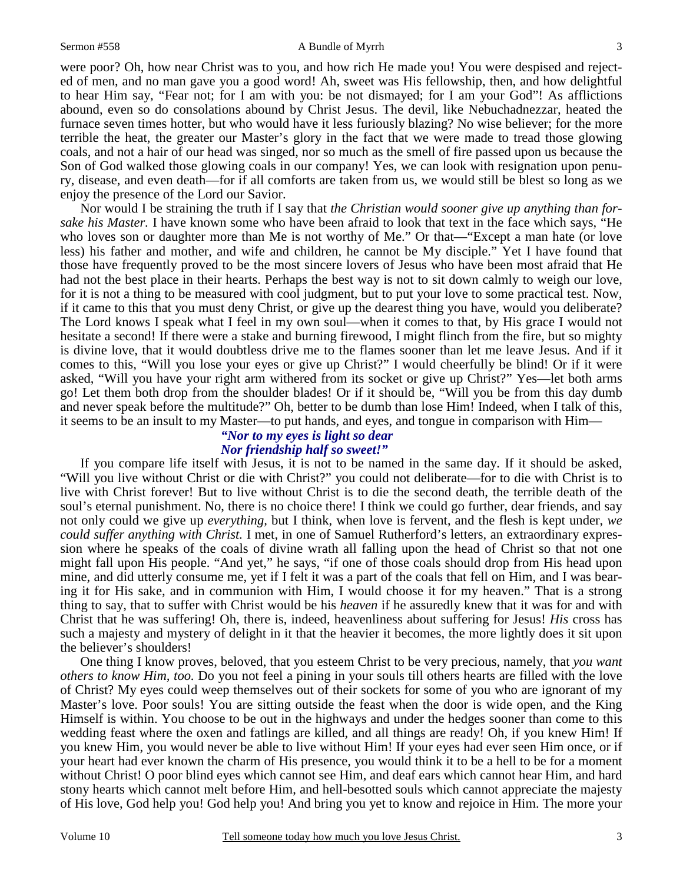#### Sermon #558 A Bundle of Myrrh

3

were poor? Oh, how near Christ was to you, and how rich He made you! You were despised and rejected of men, and no man gave you a good word! Ah, sweet was His fellowship, then, and how delightful to hear Him say, "Fear not; for I am with you: be not dismayed; for I am your God"! As afflictions abound, even so do consolations abound by Christ Jesus. The devil, like Nebuchadnezzar, heated the furnace seven times hotter, but who would have it less furiously blazing? No wise believer; for the more terrible the heat, the greater our Master's glory in the fact that we were made to tread those glowing coals, and not a hair of our head was singed, nor so much as the smell of fire passed upon us because the Son of God walked those glowing coals in our company! Yes, we can look with resignation upon penury, disease, and even death—for if all comforts are taken from us, we would still be blest so long as we enjoy the presence of the Lord our Savior.

Nor would I be straining the truth if I say that *the Christian would sooner give up anything than forsake his Master.* I have known some who have been afraid to look that text in the face which says, "He who loves son or daughter more than Me is not worthy of Me." Or that—"Except a man hate (or love less) his father and mother, and wife and children, he cannot be My disciple." Yet I have found that those have frequently proved to be the most sincere lovers of Jesus who have been most afraid that He had not the best place in their hearts. Perhaps the best way is not to sit down calmly to weigh our love, for it is not a thing to be measured with cool judgment, but to put your love to some practical test. Now, if it came to this that you must deny Christ, or give up the dearest thing you have, would you deliberate? The Lord knows I speak what I feel in my own soul—when it comes to that, by His grace I would not hesitate a second! If there were a stake and burning firewood, I might flinch from the fire, but so mighty is divine love, that it would doubtless drive me to the flames sooner than let me leave Jesus. And if it comes to this, "Will you lose your eyes or give up Christ?" I would cheerfully be blind! Or if it were asked, "Will you have your right arm withered from its socket or give up Christ?" Yes—let both arms go! Let them both drop from the shoulder blades! Or if it should be, "Will you be from this day dumb and never speak before the multitude?" Oh, better to be dumb than lose Him! Indeed, when I talk of this, it seems to be an insult to my Master—to put hands, and eyes, and tongue in comparison with Him—

### *"Nor to my eyes is light so dear Nor friendship half so sweet!"*

If you compare life itself with Jesus, it is not to be named in the same day. If it should be asked, "Will you live without Christ or die with Christ?" you could not deliberate—for to die with Christ is to live with Christ forever! But to live without Christ is to die the second death, the terrible death of the soul's eternal punishment. No, there is no choice there! I think we could go further, dear friends, and say not only could we give up *everything,* but I think, when love is fervent, and the flesh is kept under, *we could suffer anything with Christ.* I met, in one of Samuel Rutherford's letters, an extraordinary expression where he speaks of the coals of divine wrath all falling upon the head of Christ so that not one might fall upon His people. "And yet," he says, "if one of those coals should drop from His head upon mine, and did utterly consume me, yet if I felt it was a part of the coals that fell on Him, and I was bearing it for His sake, and in communion with Him, I would choose it for my heaven." That is a strong thing to say, that to suffer with Christ would be his *heaven* if he assuredly knew that it was for and with Christ that he was suffering! Oh, there is, indeed, heavenliness about suffering for Jesus! *His* cross has such a majesty and mystery of delight in it that the heavier it becomes, the more lightly does it sit upon the believer's shoulders!

One thing I know proves, beloved, that you esteem Christ to be very precious, namely, that *you want others to know Him, too.* Do you not feel a pining in your souls till others hearts are filled with the love of Christ? My eyes could weep themselves out of their sockets for some of you who are ignorant of my Master's love. Poor souls! You are sitting outside the feast when the door is wide open, and the King Himself is within. You choose to be out in the highways and under the hedges sooner than come to this wedding feast where the oxen and fatlings are killed, and all things are ready! Oh, if you knew Him! If you knew Him, you would never be able to live without Him! If your eyes had ever seen Him once, or if your heart had ever known the charm of His presence, you would think it to be a hell to be for a moment without Christ! O poor blind eyes which cannot see Him, and deaf ears which cannot hear Him, and hard stony hearts which cannot melt before Him, and hell-besotted souls which cannot appreciate the majesty of His love, God help you! God help you! And bring you yet to know and rejoice in Him. The more your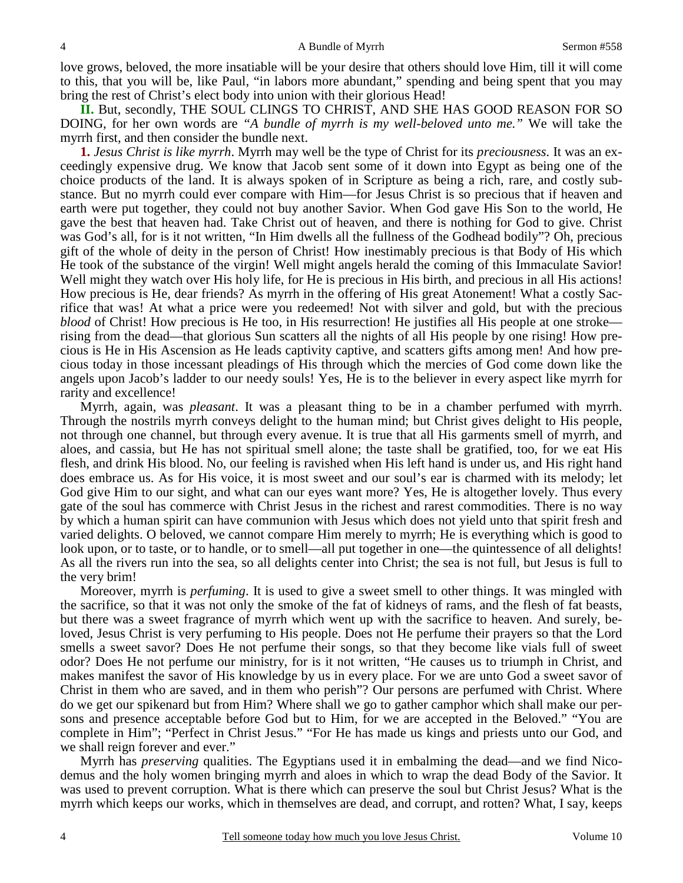love grows, beloved, the more insatiable will be your desire that others should love Him, till it will come to this, that you will be, like Paul, "in labors more abundant," spending and being spent that you may bring the rest of Christ's elect body into union with their glorious Head!

**II.** But, secondly, THE SOUL CLINGS TO CHRIST, AND SHE HAS GOOD REASON FOR SO DOING, for her own words are *"A bundle of myrrh is my well-beloved unto me."* We will take the myrrh first, and then consider the bundle next.

**1.** *Jesus Christ is like myrrh*. Myrrh may well be the type of Christ for its *preciousness*. It was an exceedingly expensive drug. We know that Jacob sent some of it down into Egypt as being one of the choice products of the land. It is always spoken of in Scripture as being a rich, rare, and costly substance. But no myrrh could ever compare with Him—for Jesus Christ is so precious that if heaven and earth were put together, they could not buy another Savior. When God gave His Son to the world, He gave the best that heaven had. Take Christ out of heaven, and there is nothing for God to give. Christ was God's all, for is it not written, "In Him dwells all the fullness of the Godhead bodily"? Oh, precious gift of the whole of deity in the person of Christ! How inestimably precious is that Body of His which He took of the substance of the virgin! Well might angels herald the coming of this Immaculate Savior! Well might they watch over His holy life, for He is precious in His birth, and precious in all His actions! How precious is He, dear friends? As myrrh in the offering of His great Atonement! What a costly Sacrifice that was! At what a price were you redeemed! Not with silver and gold, but with the precious *blood* of Christ! How precious is He too, in His resurrection! He justifies all His people at one stroke rising from the dead—that glorious Sun scatters all the nights of all His people by one rising! How precious is He in His Ascension as He leads captivity captive, and scatters gifts among men! And how precious today in those incessant pleadings of His through which the mercies of God come down like the angels upon Jacob's ladder to our needy souls! Yes, He is to the believer in every aspect like myrrh for rarity and excellence!

Myrrh, again, was *pleasant*. It was a pleasant thing to be in a chamber perfumed with myrrh. Through the nostrils myrrh conveys delight to the human mind; but Christ gives delight to His people, not through one channel, but through every avenue. It is true that all His garments smell of myrrh, and aloes, and cassia, but He has not spiritual smell alone; the taste shall be gratified, too, for we eat His flesh, and drink His blood. No, our feeling is ravished when His left hand is under us, and His right hand does embrace us. As for His voice, it is most sweet and our soul's ear is charmed with its melody; let God give Him to our sight, and what can our eyes want more? Yes, He is altogether lovely. Thus every gate of the soul has commerce with Christ Jesus in the richest and rarest commodities. There is no way by which a human spirit can have communion with Jesus which does not yield unto that spirit fresh and varied delights. O beloved, we cannot compare Him merely to myrrh; He is everything which is good to look upon, or to taste, or to handle, or to smell—all put together in one—the quintessence of all delights! As all the rivers run into the sea, so all delights center into Christ; the sea is not full, but Jesus is full to the very brim!

Moreover, myrrh is *perfuming*. It is used to give a sweet smell to other things. It was mingled with the sacrifice, so that it was not only the smoke of the fat of kidneys of rams, and the flesh of fat beasts, but there was a sweet fragrance of myrrh which went up with the sacrifice to heaven. And surely, beloved, Jesus Christ is very perfuming to His people. Does not He perfume their prayers so that the Lord smells a sweet savor? Does He not perfume their songs, so that they become like vials full of sweet odor? Does He not perfume our ministry, for is it not written, "He causes us to triumph in Christ, and makes manifest the savor of His knowledge by us in every place. For we are unto God a sweet savor of Christ in them who are saved, and in them who perish"? Our persons are perfumed with Christ. Where do we get our spikenard but from Him? Where shall we go to gather camphor which shall make our persons and presence acceptable before God but to Him, for we are accepted in the Beloved." "You are complete in Him"; "Perfect in Christ Jesus." "For He has made us kings and priests unto our God, and we shall reign forever and ever."

Myrrh has *preserving* qualities. The Egyptians used it in embalming the dead—and we find Nicodemus and the holy women bringing myrrh and aloes in which to wrap the dead Body of the Savior. It was used to prevent corruption. What is there which can preserve the soul but Christ Jesus? What is the myrrh which keeps our works, which in themselves are dead, and corrupt, and rotten? What, I say, keeps

4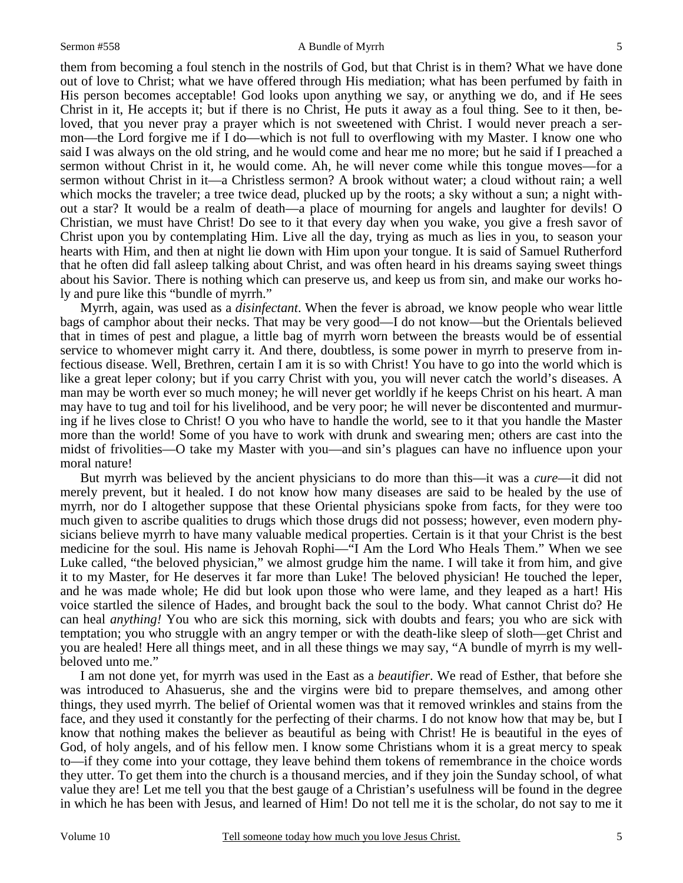them from becoming a foul stench in the nostrils of God, but that Christ is in them? What we have done out of love to Christ; what we have offered through His mediation; what has been perfumed by faith in His person becomes acceptable! God looks upon anything we say, or anything we do, and if He sees Christ in it, He accepts it; but if there is no Christ, He puts it away as a foul thing. See to it then, beloved, that you never pray a prayer which is not sweetened with Christ. I would never preach a sermon—the Lord forgive me if I do—which is not full to overflowing with my Master. I know one who said I was always on the old string, and he would come and hear me no more; but he said if I preached a sermon without Christ in it, he would come. Ah, he will never come while this tongue moves—for a sermon without Christ in it—a Christless sermon? A brook without water; a cloud without rain; a well which mocks the traveler; a tree twice dead, plucked up by the roots; a sky without a sun; a night without a star? It would be a realm of death—a place of mourning for angels and laughter for devils! O Christian, we must have Christ! Do see to it that every day when you wake, you give a fresh savor of Christ upon you by contemplating Him. Live all the day, trying as much as lies in you, to season your hearts with Him, and then at night lie down with Him upon your tongue. It is said of Samuel Rutherford that he often did fall asleep talking about Christ, and was often heard in his dreams saying sweet things about his Savior. There is nothing which can preserve us, and keep us from sin, and make our works holy and pure like this "bundle of myrrh."

Myrrh, again, was used as a *disinfectant*. When the fever is abroad, we know people who wear little bags of camphor about their necks. That may be very good—I do not know—but the Orientals believed that in times of pest and plague, a little bag of myrrh worn between the breasts would be of essential service to whomever might carry it. And there, doubtless, is some power in myrrh to preserve from infectious disease. Well, Brethren, certain I am it is so with Christ! You have to go into the world which is like a great leper colony; but if you carry Christ with you, you will never catch the world's diseases. A man may be worth ever so much money; he will never get worldly if he keeps Christ on his heart. A man may have to tug and toil for his livelihood, and be very poor; he will never be discontented and murmuring if he lives close to Christ! O you who have to handle the world, see to it that you handle the Master more than the world! Some of you have to work with drunk and swearing men; others are cast into the midst of frivolities—O take my Master with you—and sin's plagues can have no influence upon your moral nature!

But myrrh was believed by the ancient physicians to do more than this—it was a *cure*—it did not merely prevent, but it healed. I do not know how many diseases are said to be healed by the use of myrrh, nor do I altogether suppose that these Oriental physicians spoke from facts, for they were too much given to ascribe qualities to drugs which those drugs did not possess; however, even modern physicians believe myrrh to have many valuable medical properties. Certain is it that your Christ is the best medicine for the soul. His name is Jehovah Rophi—"I Am the Lord Who Heals Them." When we see Luke called, "the beloved physician," we almost grudge him the name. I will take it from him, and give it to my Master, for He deserves it far more than Luke! The beloved physician! He touched the leper, and he was made whole; He did but look upon those who were lame, and they leaped as a hart! His voice startled the silence of Hades, and brought back the soul to the body. What cannot Christ do? He can heal *anything!* You who are sick this morning, sick with doubts and fears; you who are sick with temptation; you who struggle with an angry temper or with the death-like sleep of sloth—get Christ and you are healed! Here all things meet, and in all these things we may say, "A bundle of myrrh is my wellbeloved unto me."

I am not done yet, for myrrh was used in the East as a *beautifier*. We read of Esther, that before she was introduced to Ahasuerus, she and the virgins were bid to prepare themselves, and among other things, they used myrrh. The belief of Oriental women was that it removed wrinkles and stains from the face, and they used it constantly for the perfecting of their charms. I do not know how that may be, but I know that nothing makes the believer as beautiful as being with Christ! He is beautiful in the eyes of God, of holy angels, and of his fellow men. I know some Christians whom it is a great mercy to speak to—if they come into your cottage, they leave behind them tokens of remembrance in the choice words they utter. To get them into the church is a thousand mercies, and if they join the Sunday school, of what value they are! Let me tell you that the best gauge of a Christian's usefulness will be found in the degree in which he has been with Jesus, and learned of Him! Do not tell me it is the scholar, do not say to me it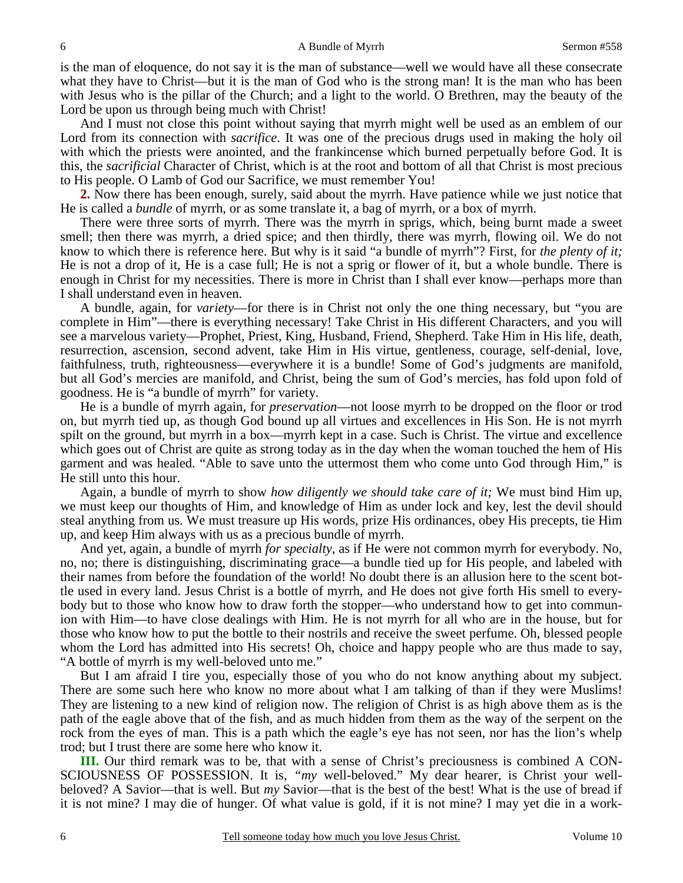is the man of eloquence, do not say it is the man of substance—well we would have all these consecrate what they have to Christ—but it is the man of God who is the strong man! It is the man who has been with Jesus who is the pillar of the Church; and a light to the world. O Brethren, may the beauty of the Lord be upon us through being much with Christ!

And I must not close this point without saying that myrrh might well be used as an emblem of our Lord from its connection with *sacrifice*. It was one of the precious drugs used in making the holy oil with which the priests were anointed, and the frankincense which burned perpetually before God. It is this, the *sacrificial* Character of Christ, which is at the root and bottom of all that Christ is most precious to His people. O Lamb of God our Sacrifice, we must remember You!

**2.** Now there has been enough, surely, said about the myrrh. Have patience while we just notice that He is called a *bundle* of myrrh, or as some translate it, a bag of myrrh, or a box of myrrh.

There were three sorts of myrrh. There was the myrrh in sprigs, which, being burnt made a sweet smell; then there was myrrh, a dried spice; and then thirdly, there was myrrh, flowing oil. We do not know to which there is reference here. But why is it said "a bundle of myrrh"? First, for *the plenty of it;* He is not a drop of it, He is a case full; He is not a sprig or flower of it, but a whole bundle. There is enough in Christ for my necessities. There is more in Christ than I shall ever know—perhaps more than I shall understand even in heaven.

A bundle, again, for *variety*—for there is in Christ not only the one thing necessary, but "you are complete in Him"—there is everything necessary! Take Christ in His different Characters, and you will see a marvelous variety—Prophet, Priest, King, Husband, Friend, Shepherd. Take Him in His life, death, resurrection, ascension, second advent, take Him in His virtue, gentleness, courage, self-denial, love, faithfulness, truth, righteousness—everywhere it is a bundle! Some of God's judgments are manifold, but all God's mercies are manifold, and Christ, being the sum of God's mercies, has fold upon fold of goodness. He is "a bundle of myrrh" for variety.

He is a bundle of myrrh again, for *preservation*—not loose myrrh to be dropped on the floor or trod on, but myrrh tied up, as though God bound up all virtues and excellences in His Son. He is not myrrh spilt on the ground, but myrrh in a box—myrrh kept in a case. Such is Christ. The virtue and excellence which goes out of Christ are quite as strong today as in the day when the woman touched the hem of His garment and was healed. "Able to save unto the uttermost them who come unto God through Him," is He still unto this hour.

Again, a bundle of myrrh to show *how diligently we should take care of it;* We must bind Him up, we must keep our thoughts of Him, and knowledge of Him as under lock and key, lest the devil should steal anything from us. We must treasure up His words, prize His ordinances, obey His precepts, tie Him up, and keep Him always with us as a precious bundle of myrrh.

And yet, again, a bundle of myrrh *for specialty*, as if He were not common myrrh for everybody. No, no, no; there is distinguishing, discriminating grace—a bundle tied up for His people, and labeled with their names from before the foundation of the world! No doubt there is an allusion here to the scent bottle used in every land. Jesus Christ is a bottle of myrrh, and He does not give forth His smell to everybody but to those who know how to draw forth the stopper—who understand how to get into communion with Him—to have close dealings with Him. He is not myrrh for all who are in the house, but for those who know how to put the bottle to their nostrils and receive the sweet perfume. Oh, blessed people whom the Lord has admitted into His secrets! Oh, choice and happy people who are thus made to say, "A bottle of myrrh is my well-beloved unto me."

But I am afraid I tire you, especially those of you who do not know anything about my subject. There are some such here who know no more about what I am talking of than if they were Muslims! They are listening to a new kind of religion now. The religion of Christ is as high above them as is the path of the eagle above that of the fish, and as much hidden from them as the way of the serpent on the rock from the eyes of man. This is a path which the eagle's eye has not seen, nor has the lion's whelp trod; but I trust there are some here who know it.

**III.** Our third remark was to be, that with a sense of Christ's preciousness is combined A CON-SCIOUSNESS OF POSSESSION. It is, *"my* well-beloved." My dear hearer, is Christ your wellbeloved? A Savior—that is well. But *my* Savior—that is the best of the best! What is the use of bread if it is not mine? I may die of hunger. Of what value is gold, if it is not mine? I may yet die in a work-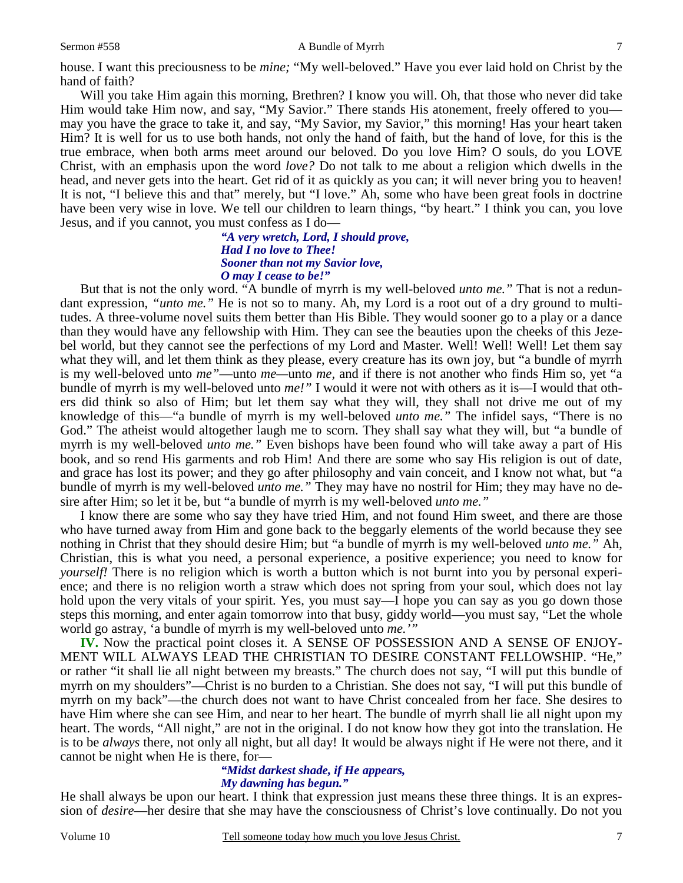#### Sermon #558 A Bundle of Myrrh

house. I want this preciousness to be *mine;* "My well-beloved." Have you ever laid hold on Christ by the hand of faith?

Will you take Him again this morning, Brethren? I know you will. Oh, that those who never did take Him would take Him now, and say, "My Savior." There stands His atonement, freely offered to you may you have the grace to take it, and say, "My Savior, my Savior," this morning! Has your heart taken Him? It is well for us to use both hands, not only the hand of faith, but the hand of love, for this is the true embrace, when both arms meet around our beloved. Do you love Him? O souls, do you LOVE Christ, with an emphasis upon the word *love?* Do not talk to me about a religion which dwells in the head, and never gets into the heart. Get rid of it as quickly as you can; it will never bring you to heaven! It is not, "I believe this and that" merely, but "I love." Ah, some who have been great fools in doctrine have been very wise in love. We tell our children to learn things, "by heart." I think you can, you love Jesus, and if you cannot, you must confess as I do—

> *"A very wretch, Lord, I should prove, Had I no love to Thee! Sooner than not my Savior love, O may I cease to be!"*

But that is not the only word. "A bundle of myrrh is my well-beloved *unto me."* That is not a redundant expression, *"unto me."* He is not so to many. Ah, my Lord is a root out of a dry ground to multitudes. A three-volume novel suits them better than His Bible. They would sooner go to a play or a dance than they would have any fellowship with Him. They can see the beauties upon the cheeks of this Jezebel world, but they cannot see the perfections of my Lord and Master. Well! Well! Well! Let them say what they will, and let them think as they please, every creature has its own joy, but "a bundle of myrrh is my well-beloved unto *me"*—unto *me—*unto *me,* and if there is not another who finds Him so, yet "a bundle of myrrh is my well-beloved unto *me!"* I would it were not with others as it is—I would that others did think so also of Him; but let them say what they will, they shall not drive me out of my knowledge of this—"a bundle of myrrh is my well-beloved *unto me."* The infidel says, "There is no God." The atheist would altogether laugh me to scorn. They shall say what they will, but "a bundle of myrrh is my well-beloved *unto me."* Even bishops have been found who will take away a part of His book, and so rend His garments and rob Him! And there are some who say His religion is out of date, and grace has lost its power; and they go after philosophy and vain conceit, and I know not what, but "a bundle of myrrh is my well-beloved *unto me."* They may have no nostril for Him; they may have no desire after Him; so let it be, but "a bundle of myrrh is my well-beloved *unto me."*

I know there are some who say they have tried Him, and not found Him sweet, and there are those who have turned away from Him and gone back to the beggarly elements of the world because they see nothing in Christ that they should desire Him; but "a bundle of myrrh is my well-beloved *unto me."* Ah, Christian, this is what you need, a personal experience, a positive experience; you need to know for *yourself!* There is no religion which is worth a button which is not burnt into you by personal experience; and there is no religion worth a straw which does not spring from your soul, which does not lay hold upon the very vitals of your spirit. Yes, you must say—I hope you can say as you go down those steps this morning, and enter again tomorrow into that busy, giddy world—you must say, "Let the whole world go astray, 'a bundle of myrrh is my well-beloved unto *me.'"*

**IV.** Now the practical point closes it. A SENSE OF POSSESSION AND A SENSE OF ENJOY-MENT WILL ALWAYS LEAD THE CHRISTIAN TO DESIRE CONSTANT FELLOWSHIP. "He," or rather "it shall lie all night between my breasts." The church does not say, "I will put this bundle of myrrh on my shoulders"—Christ is no burden to a Christian. She does not say, "I will put this bundle of myrrh on my back"—the church does not want to have Christ concealed from her face. She desires to have Him where she can see Him, and near to her heart. The bundle of myrrh shall lie all night upon my heart. The words, "All night," are not in the original. I do not know how they got into the translation. He is to be *always* there, not only all night, but all day! It would be always night if He were not there, and it cannot be night when He is there, for—

#### *"Midst darkest shade, if He appears, My dawning has begun."*

He shall always be upon our heart. I think that expression just means these three things. It is an expression of *desire*—her desire that she may have the consciousness of Christ's love continually. Do not you